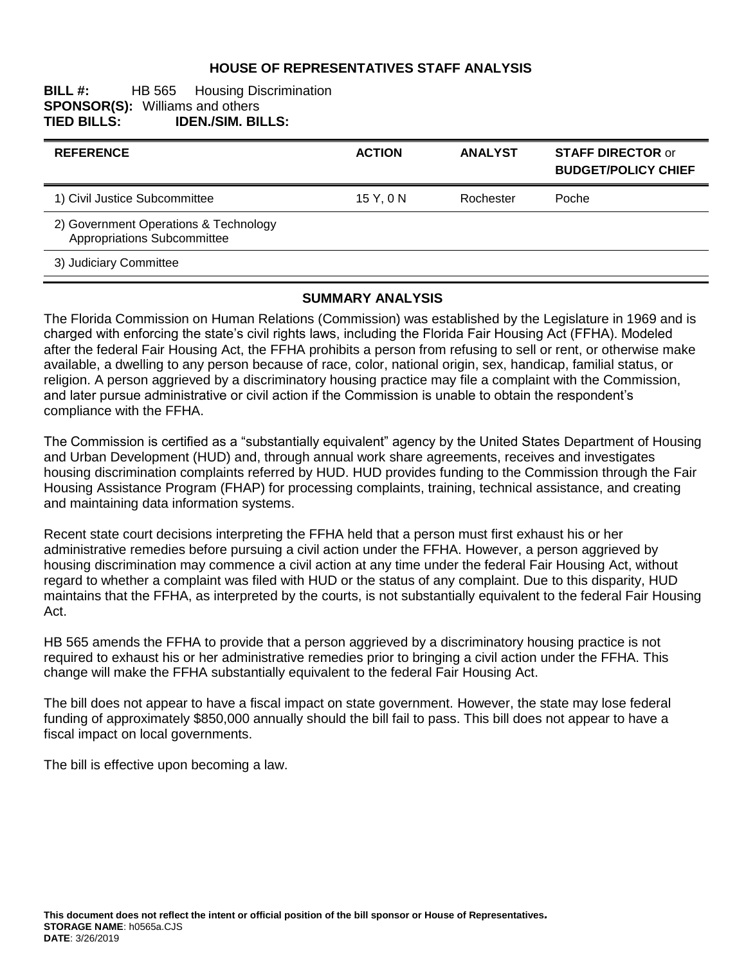### **HOUSE OF REPRESENTATIVES STAFF ANALYSIS**

#### **BILL #:** HB 565 Housing Discrimination **SPONSOR(S): Williams and others<br>TIED BILLS: <b>IDEN./SIM. BI TIED BILLS: IDEN./SIM. BILLS:**

| <b>REFERENCE</b>                                                     | <b>ACTION</b> | <b>ANALYST</b> | <b>STAFF DIRECTOR or</b><br><b>BUDGET/POLICY CHIEF</b> |
|----------------------------------------------------------------------|---------------|----------------|--------------------------------------------------------|
| 1) Civil Justice Subcommittee                                        | 15 Y, 0 N     | Rochester      | Poche                                                  |
| 2) Government Operations & Technology<br>Appropriations Subcommittee |               |                |                                                        |
| 3) Judiciary Committee                                               |               |                |                                                        |

#### **SUMMARY ANALYSIS**

The Florida Commission on Human Relations (Commission) was established by the Legislature in 1969 and is charged with enforcing the state's civil rights laws, including the Florida Fair Housing Act (FFHA). Modeled after the federal Fair Housing Act, the FFHA prohibits a person from refusing to sell or rent, or otherwise make available, a dwelling to any person because of race, color, national origin, sex, handicap, familial status, or religion. A person aggrieved by a discriminatory housing practice may file a complaint with the Commission, and later pursue administrative or civil action if the Commission is unable to obtain the respondent's compliance with the FFHA.

The Commission is certified as a "substantially equivalent" agency by the United States Department of Housing and Urban Development (HUD) and, through annual work share agreements, receives and investigates housing discrimination complaints referred by HUD. HUD provides funding to the Commission through the Fair Housing Assistance Program (FHAP) for processing complaints, training, technical assistance, and creating and maintaining data information systems.

Recent state court decisions interpreting the FFHA held that a person must first exhaust his or her administrative remedies before pursuing a civil action under the FFHA. However, a person aggrieved by housing discrimination may commence a civil action at any time under the federal Fair Housing Act, without regard to whether a complaint was filed with HUD or the status of any complaint. Due to this disparity, HUD maintains that the FFHA, as interpreted by the courts, is not substantially equivalent to the federal Fair Housing Act.

HB 565 amends the FFHA to provide that a person aggrieved by a discriminatory housing practice is not required to exhaust his or her administrative remedies prior to bringing a civil action under the FFHA. This change will make the FFHA substantially equivalent to the federal Fair Housing Act.

The bill does not appear to have a fiscal impact on state government. However, the state may lose federal funding of approximately \$850,000 annually should the bill fail to pass. This bill does not appear to have a fiscal impact on local governments.

The bill is effective upon becoming a law.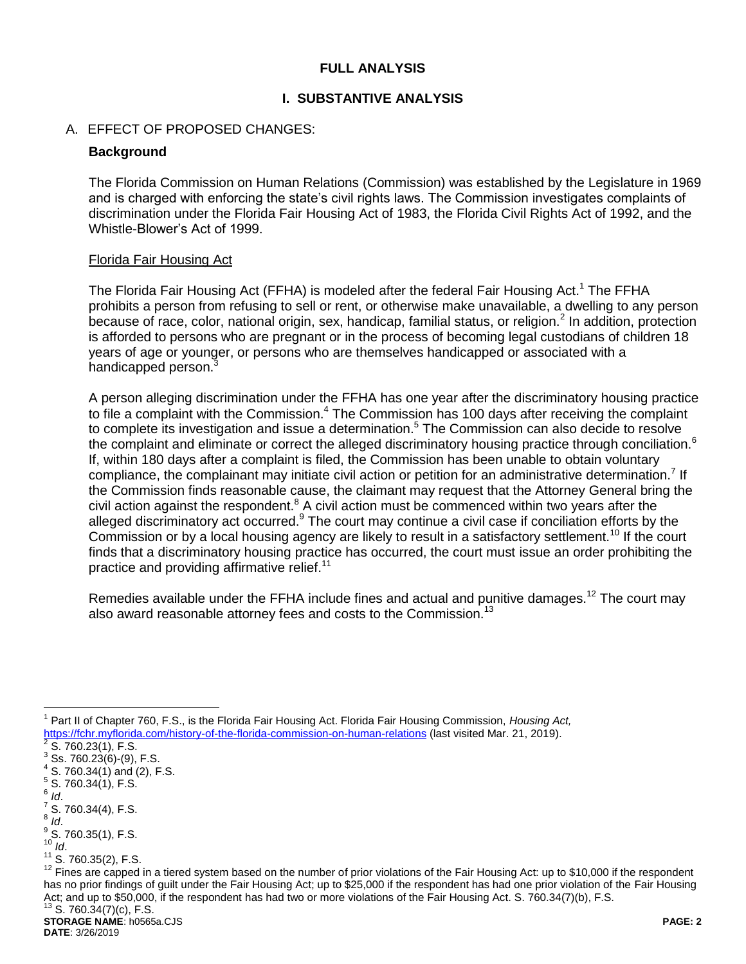### **FULL ANALYSIS**

#### **I. SUBSTANTIVE ANALYSIS**

#### A. EFFECT OF PROPOSED CHANGES:

#### **Background**

The Florida Commission on Human Relations (Commission) was established by the Legislature in 1969 and is charged with enforcing the state's civil rights laws. The Commission investigates complaints of discrimination under the Florida Fair Housing Act of 1983, the Florida Civil Rights Act of 1992, and the Whistle-Blower's Act of 1999.

#### Florida Fair Housing Act

The Florida Fair Housing Act (FFHA) is modeled after the federal Fair Housing Act.<sup>1</sup> The FFHA prohibits a person from refusing to sell or rent, or otherwise make unavailable, a dwelling to any person because of race, color, national origin, sex, handicap, familial status, or religion.<sup>2</sup> In addition, protection is afforded to persons who are pregnant or in the process of becoming legal custodians of children 18 years of age or younger, or persons who are themselves handicapped or associated with a handicapped person.<sup>3</sup>

A person alleging discrimination under the FFHA has one year after the discriminatory housing practice to file a complaint with the Commission.<sup>4</sup> The Commission has 100 days after receiving the complaint to complete its investigation and issue a determination.<sup>5</sup> The Commission can also decide to resolve the complaint and eliminate or correct the alleged discriminatory housing practice through conciliation.<sup>6</sup> If, within 180 days after a complaint is filed, the Commission has been unable to obtain voluntary compliance, the complainant may initiate civil action or petition for an administrative determination.<sup>7</sup> If the Commission finds reasonable cause, the claimant may request that the Attorney General bring the civil action against the respondent. $8$  A civil action must be commenced within two years after the alleged discriminatory act occurred.<sup>9</sup> The court may continue a civil case if conciliation efforts by the Commission or by a local housing agency are likely to result in a satisfactory settlement.<sup>10</sup> If the court finds that a discriminatory housing practice has occurred, the court must issue an order prohibiting the practice and providing affirmative relief.<sup>11</sup>

Remedies available under the FFHA include fines and actual and punitive damages.<sup>12</sup> The court may also award reasonable attorney fees and costs to the Commission.<sup>13</sup>

6 *Id*.

 $\overline{a}$ 

- $\frac{7}{1}$  S. 760.34(4), F.S.
- 8 *Id*.
- $\frac{9}{5}$  S. 760.35(1), F.S.  $10^{10}$  *Id.*
- 
- $11^{11}$  S. 760.35(2), F.S.

<sup>1</sup> Part II of Chapter 760, F.S., is the Florida Fair Housing Act. Florida Fair Housing Commission, *Housing Act,*  https://fchr.myflorida.com/history-of-the-florida-commission-on-human-relations (last visited Mar. 21, 2019).<br><sup>2</sup> S 760,22(1), E S

S. 760.23(1), F.S.

 $3$  Ss. 760.23(6)-(9), F.S.  $4$  S. 760.34(1) and (2), F.S.

 $5^5$  S. 760.34(1), F.S.

<sup>&</sup>lt;sup>12</sup> Fines are capped in a tiered system based on the number of prior violations of the Fair Housing Act: up to \$10,000 if the respondent has no prior findings of guilt under the Fair Housing Act; up to \$25,000 if the respondent has had one prior violation of the Fair Housing Act; and up to \$50,000, if the respondent has had two or more violations of the Fair Housing Act. S. 760.34(7)(b), F.S.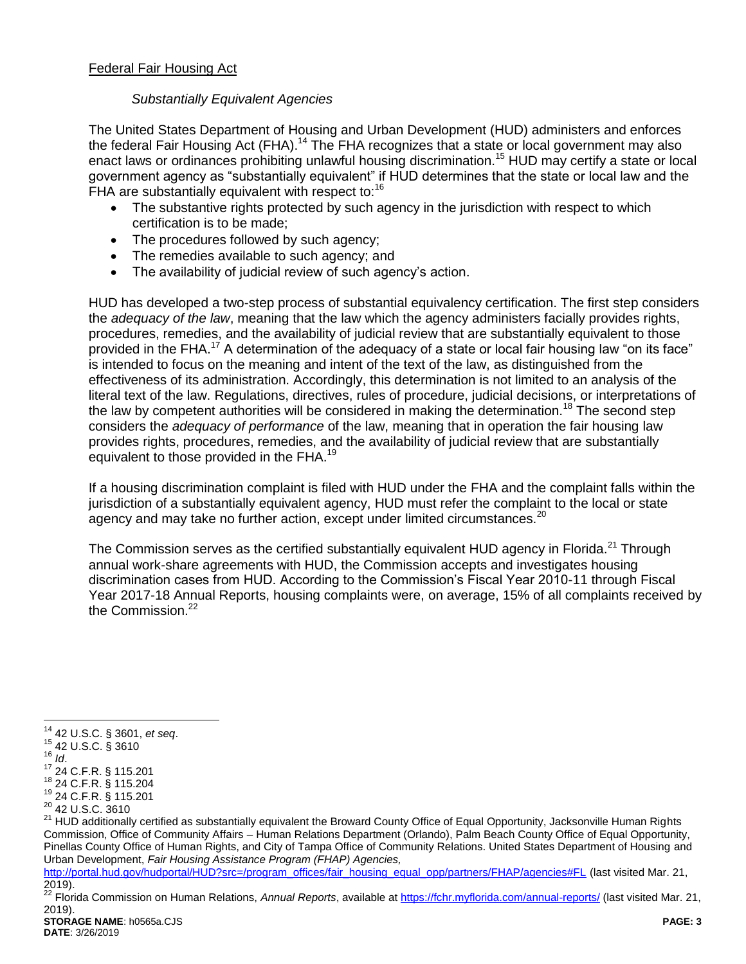# *Substantially Equivalent Agencies*

The United States Department of Housing and Urban Development (HUD) administers and enforces the federal Fair Housing Act (FHA).<sup>14</sup> The FHA recognizes that a state or local government may also enact laws or ordinances prohibiting unlawful housing discrimination.<sup>15</sup> HUD may certify a state or local government agency as "substantially equivalent" if HUD determines that the state or local law and the FHA are substantially equivalent with respect to:<sup>16</sup>

- The substantive rights protected by such agency in the jurisdiction with respect to which certification is to be made;
- The procedures followed by such agency;
- The remedies available to such agency; and
- The availability of judicial review of such agency's action.

HUD has developed a two-step process of substantial equivalency certification. The first step considers the *adequacy of the law*, meaning that the law which the agency administers facially provides rights, procedures, remedies, and the availability of judicial review that are substantially equivalent to those provided in the FHA. <sup>17</sup> A determination of the adequacy of a state or local fair housing law "on its face" is intended to focus on the meaning and intent of the text of the law, as distinguished from the effectiveness of its administration. Accordingly, this determination is not limited to an analysis of the literal text of the law. Regulations, directives, rules of procedure, judicial decisions, or interpretations of the law by competent authorities will be considered in making the determination.<sup>18</sup> The second step considers the *adequacy of performance* of the law, meaning that in operation the fair housing law provides rights, procedures, remedies, and the availability of judicial review that are substantially equivalent to those provided in the FHA.<sup>19</sup>

If a housing discrimination complaint is filed with HUD under the FHA and the complaint falls within the jurisdiction of a substantially equivalent agency, HUD must refer the complaint to the local or state agency and may take no further action, except under limited circumstances.<sup>20</sup>

The Commission serves as the certified substantially equivalent HUD agency in Florida.<sup>21</sup> Through annual work-share agreements with HUD, the Commission accepts and investigates housing discrimination cases from HUD. According to the Commission's Fiscal Year 2010-11 through Fiscal Year 2017-18 Annual Reports, housing complaints were, on average, 15% of all complaints received by the Commission.<sup>22</sup>

<sup>15</sup> 42 U.S.C. § 3610 <sup>16</sup> *Id*.

 $\overline{a}$ 

<sup>14</sup> 42 U.S.C. § 3601, *et seq*.

<sup>17</sup> 24 C.F.R. § 115.201

<sup>18</sup> 24 C.F.R. § 115.204 <sup>19</sup> 24 C.F.R. § 115.201

<sup>&</sup>lt;sup>20</sup> 42 U.S.C. 3610

<sup>&</sup>lt;sup>21</sup> HUD additionally certified as substantially equivalent the Broward County Office of Equal Opportunity, Jacksonville Human Rights Commission, Office of Community Affairs – Human Relations Department (Orlando), Palm Beach County Office of Equal Opportunity, Pinellas County Office of Human Rights, and City of Tampa Office of Community Relations. United States Department of Housing and Urban Development, *Fair Housing Assistance Program (FHAP) Agencies,* 

[http://portal.hud.gov/hudportal/HUD?src=/program\\_offices/fair\\_housing\\_equal\\_opp/partners/FHAP/agencies#FL](http://portal.hud.gov/hudportal/HUD?src=/program_offices/fair_housing_equal_opp/partners/FHAP/agencies#FL) (last visited Mar. 21, 2019).

**STORAGE NAME**: h0565a.CJS **PAGE: 3** <sup>22</sup> Florida Commission on Human Relations, *Annual Reports*, available at<https://fchr.myflorida.com/annual-reports/> (last visited Mar. 21, 2019).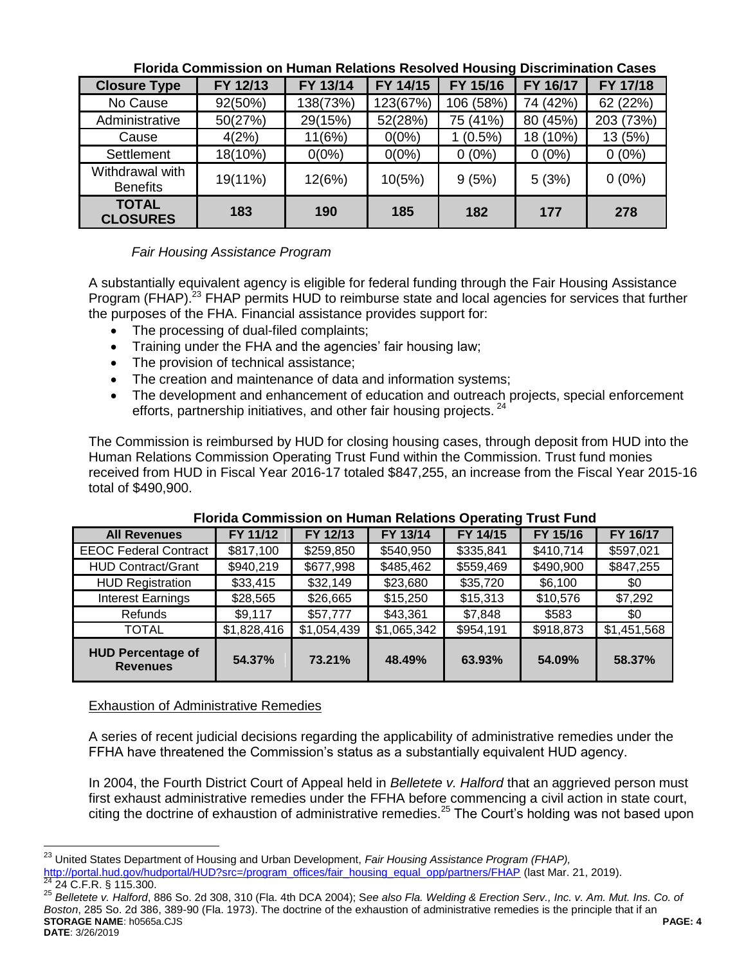| וסוועט שטטש וויוויטטוש וויוויסטטו טוויטטאיוט וויסטוסוויס וויינוסט וויוויוויסט וויוויוסט וויינוסט |          |          |          |           |          |           |  |
|--------------------------------------------------------------------------------------------------|----------|----------|----------|-----------|----------|-----------|--|
| <b>Closure Type</b>                                                                              | FY 12/13 | FY 13/14 | FY 14/15 | FY 15/16  | FY 16/17 | FY 17/18  |  |
| No Cause                                                                                         | 92(50%)  | 138(73%) | 123(67%) | 106 (58%) | 74 (42%) | 62 (22%)  |  |
| Administrative                                                                                   | 50(27%)  | 29(15%)  | 52(28%)  | 75 (41%)  | 80 (45%) | 203 (73%) |  |
| Cause                                                                                            | 4(2%)    | 11(6%)   | $0(0\%)$ | $(0.5\%)$ | 18 (10%) | 13 (5%)   |  |
| Settlement                                                                                       | 18(10%)  | $0(0\%)$ | $0(0\%)$ | $0(0\%)$  | $0(0\%)$ | $0(0\%)$  |  |
| Withdrawal with<br><b>Benefits</b>                                                               | 19(11%)  | 12(6%)   | 10(5%)   | 9(5%)     | 5(3%)    | $0(0\%)$  |  |
| <b>TOTAL</b><br><b>CLOSURES</b>                                                                  | 183      | 190      | 185      | 182       | 177      | 278       |  |

### **Florida Commission on Human Relations Resolved Housing Discrimination Cases**

# *Fair Housing Assistance Program*

A substantially equivalent agency is eligible for federal funding through the Fair Housing Assistance Program (FHAP).<sup>23</sup> FHAP permits HUD to reimburse state and local agencies for services that further the purposes of the FHA. Financial assistance provides support for:

- The processing of dual-filed complaints;
- Training under the FHA and the agencies' fair housing law;
- The provision of technical assistance;
- The creation and maintenance of data and information systems;
- The development and enhancement of education and outreach projects, special enforcement efforts, partnership initiatives, and other fair housing projects.<sup>24</sup>

The Commission is reimbursed by HUD for closing housing cases, through deposit from HUD into the Human Relations Commission Operating Trust Fund within the Commission. Trust fund monies received from HUD in Fiscal Year 2016-17 totaled \$847,255, an increase from the Fiscal Year 2015-16 total of \$490,900.

| <b>All Revenues</b>                         | FY 11/12    | FY 12/13    | FY 13/14    | FY 14/15  | FY 15/16  | FY 16/17    |
|---------------------------------------------|-------------|-------------|-------------|-----------|-----------|-------------|
| <b>EEOC Federal Contract</b>                | \$817,100   | \$259,850   | \$540,950   | \$335,841 | \$410,714 | \$597,021   |
| <b>HUD Contract/Grant</b>                   | \$940,219   | \$677,998   | \$485,462   | \$559,469 | \$490,900 | \$847,255   |
| <b>HUD Registration</b>                     | \$33,415    | \$32,149    | \$23,680    | \$35,720  | \$6,100   | \$0         |
| <b>Interest Earnings</b>                    | \$28,565    | \$26,665    | \$15,250    | \$15,313  | \$10,576  | \$7,292     |
| Refunds                                     | \$9,117     | \$57,777    | \$43,361    | \$7,848   | \$583     | \$0         |
| <b>TOTAL</b>                                | \$1,828,416 | \$1,054,439 | \$1,065,342 | \$954,191 | \$918,873 | \$1,451,568 |
| <b>HUD Percentage of</b><br><b>Revenues</b> | 54.37%      | 73.21%      | 48.49%      | 63.93%    | 54.09%    | 58.37%      |

### **Florida Commission on Human Relations Operating Trust Fund**

### Exhaustion of Administrative Remedies

 $\overline{a}$ 

A series of recent judicial decisions regarding the applicability of administrative remedies under the FFHA have threatened the Commission's status as a substantially equivalent HUD agency.

In 2004, the Fourth District Court of Appeal held in *Belletete v. Halford* that an aggrieved person must first exhaust administrative remedies under the FFHA before commencing a civil action in state court, citing the doctrine of exhaustion of administrative remedies.<sup>25</sup> The Court's holding was not based upon

**STORAGE NAME**: h0565a.CJS **PAGE: 4 DATE**: 3/26/2019 <sup>25</sup> *Belletete v. Halford*, 886 So. 2d 308, 310 (Fla. 4th DCA 2004); S*ee also Fla. Welding & Erection Serv., Inc. v. Am. Mut. Ins. Co. of Boston*, 285 So. 2d 386, 389-90 (Fla. 1973). The doctrine of the exhaustion of administrative remedies is the principle that if an

<sup>23</sup> United States Department of Housing and Urban Development, *Fair Housing Assistance Program (FHAP),*  [http://portal.hud.gov/hudportal/HUD?src=/program\\_offices/fair\\_housing\\_equal\\_opp/partners/FHAP](http://portal.hud.gov/hudportal/HUD?src=/program_offices/fair_housing_equal_opp/partners/FHAP) (last Mar. 21, 2019). <sup>24</sup> 24 C.F.R. § 115.300.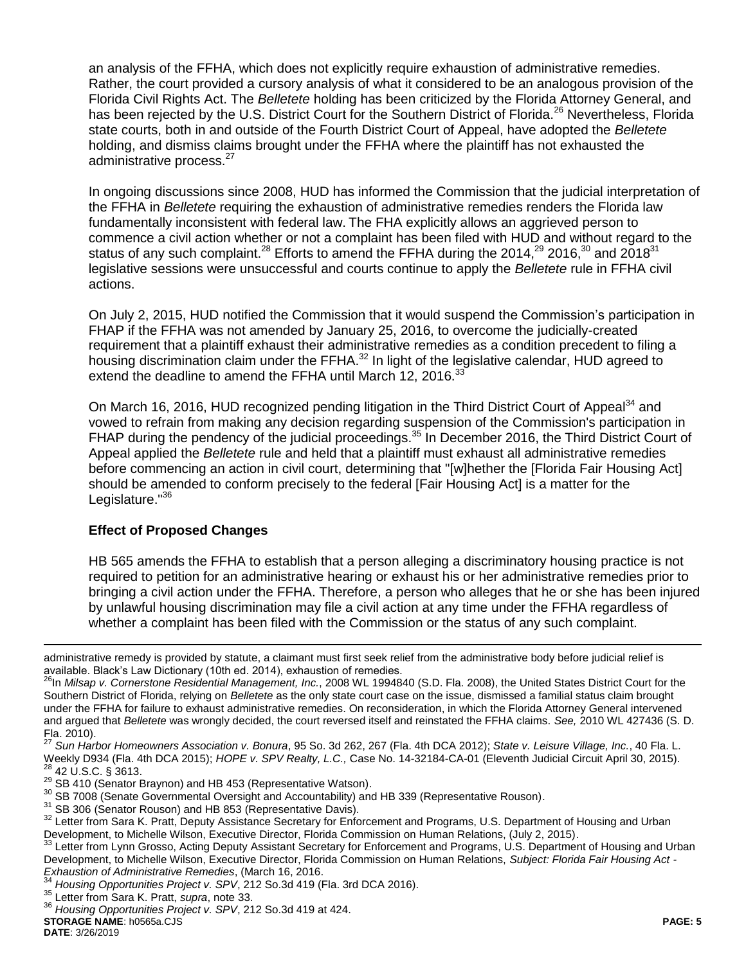an analysis of the FFHA, which does not explicitly require exhaustion of administrative remedies. Rather, the court provided a cursory analysis of what it considered to be an analogous provision of the Florida Civil Rights Act. The *Belletete* holding has been criticized by the Florida Attorney General, and has been rejected by the U.S. District Court for the Southern District of Florida.<sup>26</sup> Nevertheless, Florida state courts, both in and outside of the Fourth District Court of Appeal, have adopted the *Belletete*  holding, and dismiss claims brought under the FFHA where the plaintiff has not exhausted the administrative process.<sup>27</sup>

In ongoing discussions since 2008, HUD has informed the Commission that the judicial interpretation of the FFHA in *Belletete* requiring the exhaustion of administrative remedies renders the Florida law fundamentally inconsistent with federal law. The FHA explicitly allows an aggrieved person to commence a civil action whether or not a complaint has been filed with HUD and without regard to the status of any such complaint.<sup>28</sup> Efforts to amend the FFHA during the 2014,<sup>29</sup> 2016,<sup>30</sup> and 2018<sup>31</sup> legislative sessions were unsuccessful and courts continue to apply the *Belletete* rule in FFHA civil actions.

On July 2, 2015, HUD notified the Commission that it would suspend the Commission's participation in FHAP if the FFHA was not amended by January 25, 2016, to overcome the judicially-created requirement that a plaintiff exhaust their administrative remedies as a condition precedent to filing a housing discrimination claim under the FFHA.<sup>32</sup> In light of the legislative calendar, HUD agreed to extend the deadline to amend the FFHA until March 12, 2016.<sup>33</sup>

<span id="page-4-0"></span>On March 16, 2016, HUD recognized pending litigation in the Third District Court of Appeal<sup>34</sup> and vowed to refrain from making any decision regarding suspension of the Commission's participation in FHAP during the pendency of the judicial proceedings.<sup>35</sup> In December 2016, the Third District Court of Appeal applied the *Belletete* rule and held that a plaintiff must exhaust all administrative remedies before commencing an action in civil court, determining that "[w]hether the [Florida Fair Housing Act] should be amended to conform precisely to the federal [Fair Housing Act] is a matter for the Legislature.<sup>"36</sup>

### **Effect of Proposed Changes**

HB 565 amends the FFHA to establish that a person alleging a discriminatory housing practice is not required to petition for an administrative hearing or exhaust his or her administrative remedies prior to bringing a civil action under the FFHA. Therefore, a person who alleges that he or she has been injured by unlawful housing discrimination may file a civil action at any time under the FFHA regardless of whether a complaint has been filed with the Commission or the status of any such complaint.

 $\overline{a}$ 

administrative remedy is provided by statute, a claimant must first seek relief from the administrative body before judicial relief is available. Black's Law Dictionary (10th ed. 2014), exhaustion of remedies.

<sup>&</sup>lt;sup>26</sup>In *Milsap v. Cornerstone Residential Management, Inc.*, 2008 WL 1994840 (S.D. Fla. 2008), the United States District Court for the Southern District of Florida, relying on *Belletete* as the only state court case on the issue, dismissed a familial status claim brought under the FFHA for failure to exhaust administrative remedies. On reconsideration, in which the Florida Attorney General intervened and argued that *Belletete* was wrongly decided, the court reversed itself and reinstated the FFHA claims. *See,* 2010 WL 427436 (S. D.  $\text{Fla. } 2010$ ).

<sup>27</sup> *Sun Harbor Homeowners Association v. Bonura*, 95 So. 3d 262, 267 (Fla. 4th DCA 2012); *State v. Leisure Village, Inc.*, 40 Fla. L. Weekly D934 (Fla. 4th DCA 2015); *HOPE v. SPV Realty, L.C.,* Case No. 14-32184-CA-01 (Eleventh Judicial Circuit April 30, 2015). <sup>28</sup> 42 U.S.C. § 3613.

<sup>&</sup>lt;sup>29</sup> SB 410 (Senator Braynon) and HB 453 (Representative Watson).

 $30$  SB 7008 (Senate Governmental Oversight and Accountability) and HB 339 (Representative Rouson).

<sup>&</sup>lt;sup>31</sup> SB 306 (Senator Rouson) and HB 853 (Representative Davis).

<sup>&</sup>lt;sup>32</sup> Letter from Sara K. Pratt, Deputy Assistance Secretary for Enforcement and Programs, U.S. Department of Housing and Urban Development, to Michelle Wilson, Executive Director, Florida Commission on Human Relations, (July 2, 2015).<br><sup>33</sup> Letter from Lynn Crosse, Asting Deputy Assistant Secretary for Enforcement and Pregrame, U.S. Department

Letter from Lynn Grosso, Acting Deputy Assistant Secretary for Enforcement and Programs, U.S. Department of Housing and Urban Development, to Michelle Wilson, Executive Director, Florida Commission on Human Relations, *Subject: Florida Fair Housing Act - Exhaustion of Administrative Remedies*, (March 16, 2016.

<sup>34</sup> *Housing Opportunities Project v. SPV*, 212 So.3d 419 (Fla. 3rd DCA 2016).

<sup>35</sup> Letter from Sara K. Pratt, *supra*, note [33.](#page-4-0)

<sup>36</sup> *Housing Opportunities Project v. SPV*, 212 So.3d 419 at 424.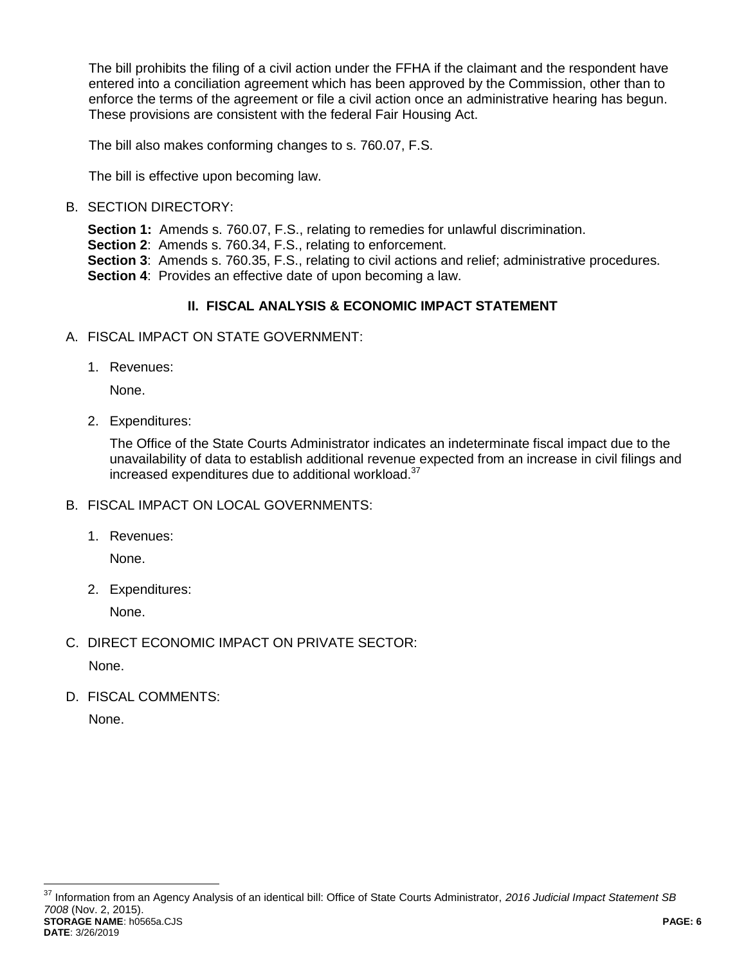The bill prohibits the filing of a civil action under the FFHA if the claimant and the respondent have entered into a conciliation agreement which has been approved by the Commission, other than to enforce the terms of the agreement or file a civil action once an administrative hearing has begun. These provisions are consistent with the federal Fair Housing Act.

The bill also makes conforming changes to s. 760.07, F.S.

The bill is effective upon becoming law.

# B. SECTION DIRECTORY:

**Section 1:** Amends s. 760.07, F.S., relating to remedies for unlawful discrimination.

**Section 2:** Amends s. 760.34, F.S., relating to enforcement.

**Section 3**: Amends s. 760.35, F.S., relating to civil actions and relief; administrative procedures. **Section 4:** Provides an effective date of upon becoming a law.

# **II. FISCAL ANALYSIS & ECONOMIC IMPACT STATEMENT**

- A. FISCAL IMPACT ON STATE GOVERNMENT:
	- 1. Revenues:

None.

2. Expenditures:

The Office of the State Courts Administrator indicates an indeterminate fiscal impact due to the unavailability of data to establish additional revenue expected from an increase in civil filings and increased expenditures due to additional workload.<sup>37</sup>

- B. FISCAL IMPACT ON LOCAL GOVERNMENTS:
	- 1. Revenues:

None.

2. Expenditures:

None.

C. DIRECT ECONOMIC IMPACT ON PRIVATE SECTOR:

None.

D. FISCAL COMMENTS:

None.